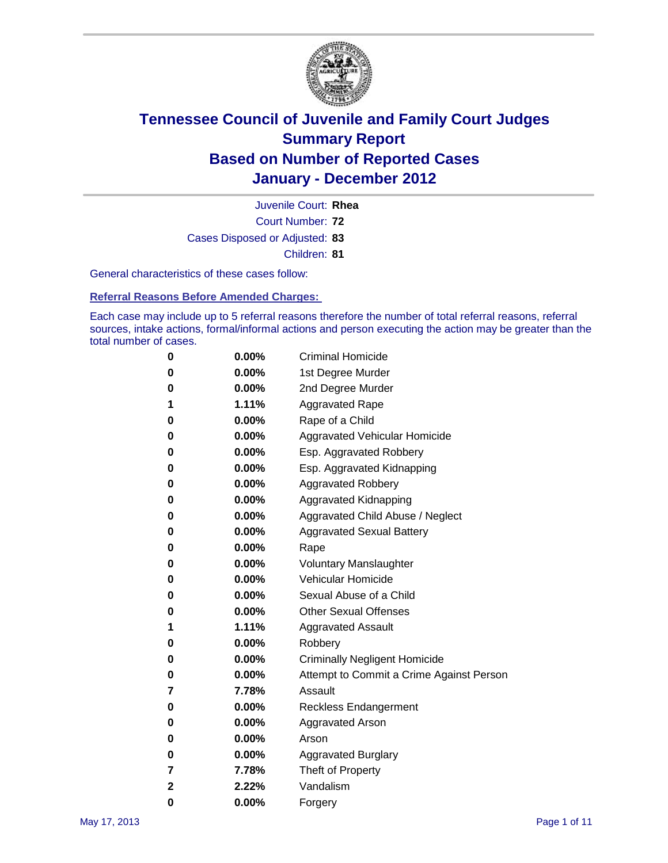

Court Number: **72** Juvenile Court: **Rhea** Cases Disposed or Adjusted: **83** Children: **81**

General characteristics of these cases follow:

**Referral Reasons Before Amended Charges:** 

Each case may include up to 5 referral reasons therefore the number of total referral reasons, referral sources, intake actions, formal/informal actions and person executing the action may be greater than the total number of cases.

| 0 | $0.00\%$ | <b>Criminal Homicide</b>                 |
|---|----------|------------------------------------------|
| 0 | $0.00\%$ | 1st Degree Murder                        |
| 0 | $0.00\%$ | 2nd Degree Murder                        |
| 1 | 1.11%    | <b>Aggravated Rape</b>                   |
| 0 | $0.00\%$ | Rape of a Child                          |
| 0 | 0.00%    | Aggravated Vehicular Homicide            |
| 0 | $0.00\%$ | Esp. Aggravated Robbery                  |
| 0 | $0.00\%$ | Esp. Aggravated Kidnapping               |
| 0 | $0.00\%$ | <b>Aggravated Robbery</b>                |
| 0 | $0.00\%$ | Aggravated Kidnapping                    |
| 0 | $0.00\%$ | Aggravated Child Abuse / Neglect         |
| 0 | $0.00\%$ | <b>Aggravated Sexual Battery</b>         |
| 0 | 0.00%    | Rape                                     |
| 0 | $0.00\%$ | <b>Voluntary Manslaughter</b>            |
| 0 | $0.00\%$ | Vehicular Homicide                       |
| 0 | $0.00\%$ | Sexual Abuse of a Child                  |
| 0 | $0.00\%$ | <b>Other Sexual Offenses</b>             |
| 1 | 1.11%    | <b>Aggravated Assault</b>                |
| 0 | $0.00\%$ | Robbery                                  |
| 0 | $0.00\%$ | <b>Criminally Negligent Homicide</b>     |
| 0 | $0.00\%$ | Attempt to Commit a Crime Against Person |
| 7 | 7.78%    | Assault                                  |
| 0 | $0.00\%$ | <b>Reckless Endangerment</b>             |
| 0 | $0.00\%$ | <b>Aggravated Arson</b>                  |
| 0 | $0.00\%$ | Arson                                    |
| 0 | $0.00\%$ | <b>Aggravated Burglary</b>               |
| 7 | 7.78%    | Theft of Property                        |
| 2 | 2.22%    | Vandalism                                |
| 0 | 0.00%    | Forgery                                  |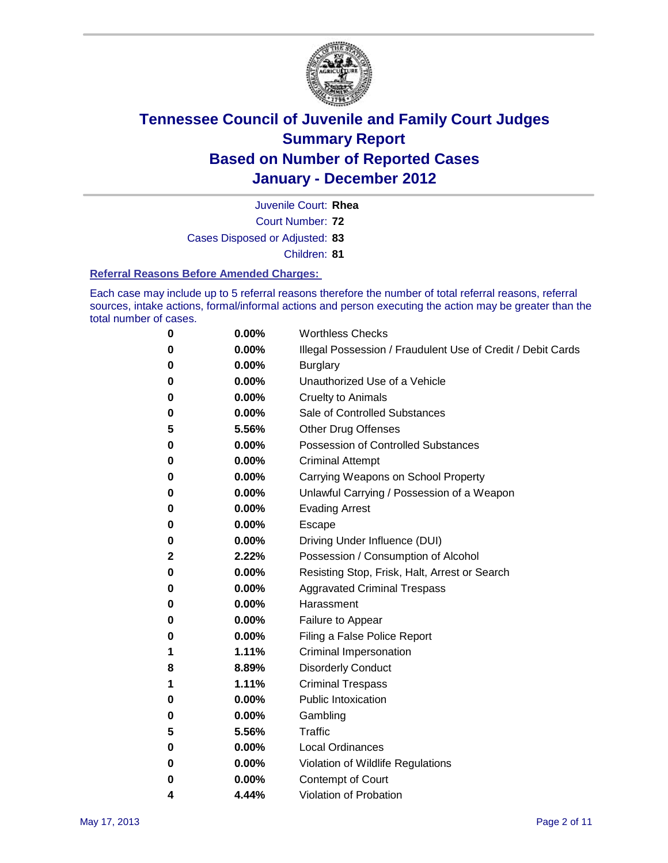

Juvenile Court: **Rhea**

Court Number: **72**

Cases Disposed or Adjusted: **83**

Children: **81**

#### **Referral Reasons Before Amended Charges:**

Each case may include up to 5 referral reasons therefore the number of total referral reasons, referral sources, intake actions, formal/informal actions and person executing the action may be greater than the total number of cases.

| 0            | 0.00%    | <b>Worthless Checks</b>                                     |
|--------------|----------|-------------------------------------------------------------|
| 0            | 0.00%    | Illegal Possession / Fraudulent Use of Credit / Debit Cards |
| 0            | 0.00%    | <b>Burglary</b>                                             |
| 0            | $0.00\%$ | Unauthorized Use of a Vehicle                               |
| 0            | $0.00\%$ | <b>Cruelty to Animals</b>                                   |
| 0            | $0.00\%$ | Sale of Controlled Substances                               |
| 5            | 5.56%    | <b>Other Drug Offenses</b>                                  |
| 0            | 0.00%    | <b>Possession of Controlled Substances</b>                  |
| 0            | 0.00%    | <b>Criminal Attempt</b>                                     |
| 0            | 0.00%    | Carrying Weapons on School Property                         |
| 0            | 0.00%    | Unlawful Carrying / Possession of a Weapon                  |
| 0            | $0.00\%$ | <b>Evading Arrest</b>                                       |
| 0            | $0.00\%$ | Escape                                                      |
| 0            | $0.00\%$ | Driving Under Influence (DUI)                               |
| $\mathbf{2}$ | 2.22%    | Possession / Consumption of Alcohol                         |
| 0            | $0.00\%$ | Resisting Stop, Frisk, Halt, Arrest or Search               |
| 0            | $0.00\%$ | <b>Aggravated Criminal Trespass</b>                         |
| 0            | $0.00\%$ | Harassment                                                  |
| 0            | 0.00%    | Failure to Appear                                           |
| 0            | 0.00%    | Filing a False Police Report                                |
| 1            | 1.11%    | Criminal Impersonation                                      |
| 8            | 8.89%    | <b>Disorderly Conduct</b>                                   |
| 1            | 1.11%    | <b>Criminal Trespass</b>                                    |
| 0            | 0.00%    | <b>Public Intoxication</b>                                  |
| 0            | $0.00\%$ | Gambling                                                    |
| 5            | 5.56%    | Traffic                                                     |
| 0            | $0.00\%$ | <b>Local Ordinances</b>                                     |
| 0            | 0.00%    | Violation of Wildlife Regulations                           |
| 0            | $0.00\%$ | Contempt of Court                                           |
| 4            | 4.44%    | Violation of Probation                                      |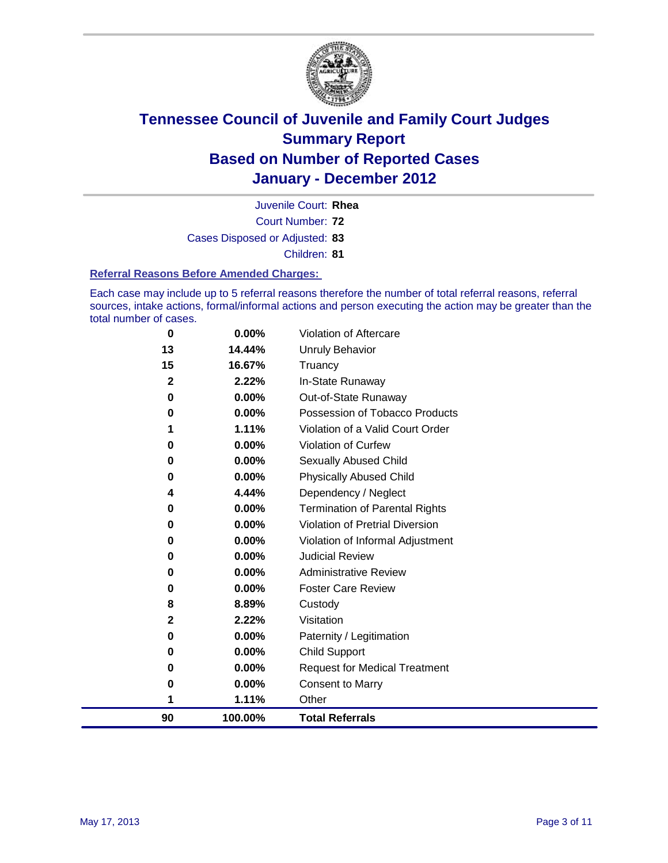

Court Number: **72** Juvenile Court: **Rhea** Cases Disposed or Adjusted: **83** Children: **81**

#### **Referral Reasons Before Amended Charges:**

Each case may include up to 5 referral reasons therefore the number of total referral reasons, referral sources, intake actions, formal/informal actions and person executing the action may be greater than the total number of cases.

| 90                | 100.00%         | <b>Total Referrals</b>                   |
|-------------------|-----------------|------------------------------------------|
| 1                 | 1.11%           | Other                                    |
| 0                 | 0.00%           | <b>Consent to Marry</b>                  |
| 0                 | 0.00%           | <b>Request for Medical Treatment</b>     |
| 0                 | 0.00%           | <b>Child Support</b>                     |
| 0                 | 0.00%           | Paternity / Legitimation                 |
| $\mathbf{2}$      | 2.22%           | Visitation                               |
| 8                 | 8.89%           | Custody                                  |
| 0                 | 0.00%           | <b>Foster Care Review</b>                |
| 0                 | 0.00%           | <b>Administrative Review</b>             |
| 0                 | 0.00%           | <b>Judicial Review</b>                   |
| 0                 | 0.00%           | Violation of Informal Adjustment         |
| 0                 | 0.00%           | <b>Violation of Pretrial Diversion</b>   |
| 0                 | 0.00%           | Termination of Parental Rights           |
| 4                 | 4.44%           | Dependency / Neglect                     |
| 0                 | 0.00%           | <b>Physically Abused Child</b>           |
| 0                 | 0.00%           | Sexually Abused Child                    |
| 0                 | 0.00%           | Violation of Curfew                      |
| 1                 | 1.11%           | Violation of a Valid Court Order         |
| $\bf{0}$          | 0.00%           | Possession of Tobacco Products           |
| 0                 | 0.00%           | In-State Runaway<br>Out-of-State Runaway |
| 15<br>$\mathbf 2$ | 16.67%<br>2.22% | Truancy                                  |
| 13                | 14.44%          | <b>Unruly Behavior</b>                   |
| 0                 | 0.00%           | Violation of Aftercare                   |
|                   |                 |                                          |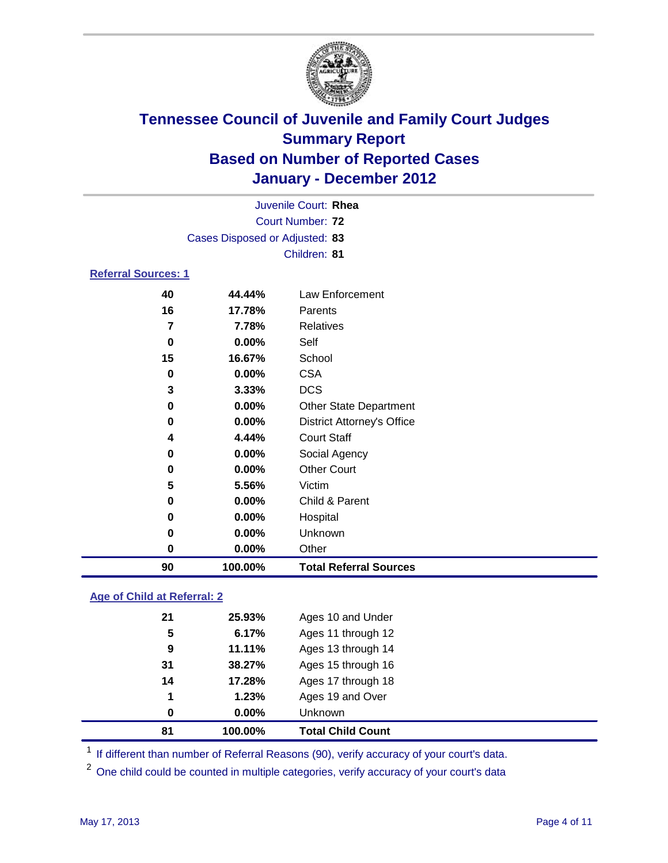

|                            | Juvenile Court: Rhea                                                                                                                                                                                                                                                                                                                                                                                        |                |  |  |  |
|----------------------------|-------------------------------------------------------------------------------------------------------------------------------------------------------------------------------------------------------------------------------------------------------------------------------------------------------------------------------------------------------------------------------------------------------------|----------------|--|--|--|
|                            | <b>Court Number: 72</b><br>Children: 81<br>Law Enforcement<br>44.44%<br>17.78%<br>Parents<br>7.78%<br><b>Relatives</b><br>$0.00\%$<br>Self<br>School<br>16.67%<br>0.00%<br><b>CSA</b><br><b>DCS</b><br>3.33%<br>0.00%<br>Other State Department<br>0.00%<br><b>District Attorney's Office</b><br><b>Court Staff</b><br>4.44%<br>$0.00\%$<br>Social Agency<br><b>Other Court</b><br>0.00%<br>Victim<br>5.56% |                |  |  |  |
|                            | Cases Disposed or Adjusted: 83<br>40<br>16<br>7                                                                                                                                                                                                                                                                                                                                                             |                |  |  |  |
|                            |                                                                                                                                                                                                                                                                                                                                                                                                             |                |  |  |  |
| <b>Referral Sources: 1</b> |                                                                                                                                                                                                                                                                                                                                                                                                             |                |  |  |  |
|                            |                                                                                                                                                                                                                                                                                                                                                                                                             |                |  |  |  |
|                            |                                                                                                                                                                                                                                                                                                                                                                                                             |                |  |  |  |
|                            |                                                                                                                                                                                                                                                                                                                                                                                                             |                |  |  |  |
| 0                          |                                                                                                                                                                                                                                                                                                                                                                                                             |                |  |  |  |
| 15                         |                                                                                                                                                                                                                                                                                                                                                                                                             |                |  |  |  |
| 0                          |                                                                                                                                                                                                                                                                                                                                                                                                             |                |  |  |  |
| 3                          |                                                                                                                                                                                                                                                                                                                                                                                                             |                |  |  |  |
| 0                          |                                                                                                                                                                                                                                                                                                                                                                                                             |                |  |  |  |
| $\bf{0}$                   |                                                                                                                                                                                                                                                                                                                                                                                                             |                |  |  |  |
| 4                          |                                                                                                                                                                                                                                                                                                                                                                                                             |                |  |  |  |
| 0                          |                                                                                                                                                                                                                                                                                                                                                                                                             |                |  |  |  |
| 0                          |                                                                                                                                                                                                                                                                                                                                                                                                             |                |  |  |  |
| 5                          |                                                                                                                                                                                                                                                                                                                                                                                                             |                |  |  |  |
| 0                          | 0.00%                                                                                                                                                                                                                                                                                                                                                                                                       | Child & Parent |  |  |  |
| 0                          | 0.00%                                                                                                                                                                                                                                                                                                                                                                                                       | Hospital       |  |  |  |
| 0                          | 0.00%                                                                                                                                                                                                                                                                                                                                                                                                       | Unknown        |  |  |  |

**Age of Child at Referral: 2**

| 81 | 100.00%  | <b>Total Child Count</b> |
|----|----------|--------------------------|
| 0  | $0.00\%$ | Unknown                  |
| 1  | 1.23%    | Ages 19 and Over         |
| 14 | 17.28%   | Ages 17 through 18       |
| 31 | 38.27%   | Ages 15 through 16       |
| 9  | 11.11%   | Ages 13 through 14       |
| 5  | 6.17%    | Ages 11 through 12       |
| 21 | 25.93%   | Ages 10 and Under        |
|    |          |                          |

<sup>1</sup> If different than number of Referral Reasons (90), verify accuracy of your court's data.

**0.00%** Other

**100.00% Total Referral Sources**

<sup>2</sup> One child could be counted in multiple categories, verify accuracy of your court's data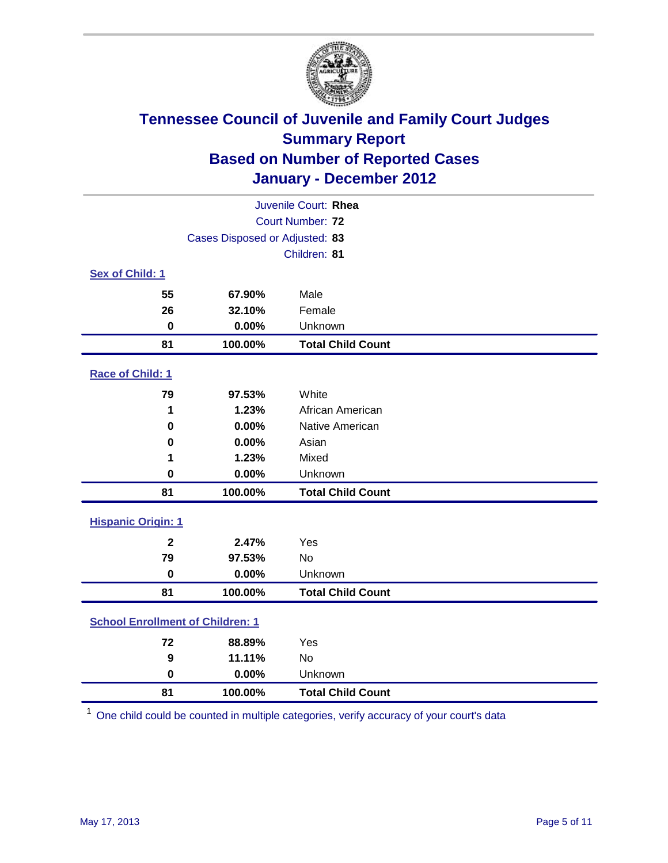

| Juvenile Court: Rhea                    |                                |                          |  |  |
|-----------------------------------------|--------------------------------|--------------------------|--|--|
|                                         | Court Number: 72               |                          |  |  |
|                                         | Cases Disposed or Adjusted: 83 |                          |  |  |
|                                         |                                | Children: 81             |  |  |
| Sex of Child: 1                         |                                |                          |  |  |
| 55                                      | 67.90%                         | Male                     |  |  |
| 26                                      | 32.10%                         | Female                   |  |  |
| $\mathbf 0$                             | 0.00%                          | Unknown                  |  |  |
| 81                                      | 100.00%                        | <b>Total Child Count</b> |  |  |
| Race of Child: 1                        |                                |                          |  |  |
| 79                                      | 97.53%                         | White                    |  |  |
| 1                                       | 1.23%                          | African American         |  |  |
| 0                                       | 0.00%                          | Native American          |  |  |
| 0                                       | 0.00%                          | Asian                    |  |  |
| 1                                       | 1.23%                          | Mixed                    |  |  |
| 0                                       | 0.00%                          | Unknown                  |  |  |
| 81                                      | 100.00%                        | <b>Total Child Count</b> |  |  |
| <b>Hispanic Origin: 1</b>               |                                |                          |  |  |
| $\overline{\mathbf{2}}$                 | 2.47%                          | Yes                      |  |  |
| 79                                      | 97.53%                         | No                       |  |  |
| $\mathbf 0$                             | 0.00%                          | Unknown                  |  |  |
| 81                                      | 100.00%                        | <b>Total Child Count</b> |  |  |
| <b>School Enrollment of Children: 1</b> |                                |                          |  |  |
| 72                                      | 88.89%                         | Yes                      |  |  |
| 9                                       | 11.11%                         | No                       |  |  |
| $\mathbf 0$                             | 0.00%                          | Unknown                  |  |  |
| 81                                      | 100.00%                        | <b>Total Child Count</b> |  |  |

One child could be counted in multiple categories, verify accuracy of your court's data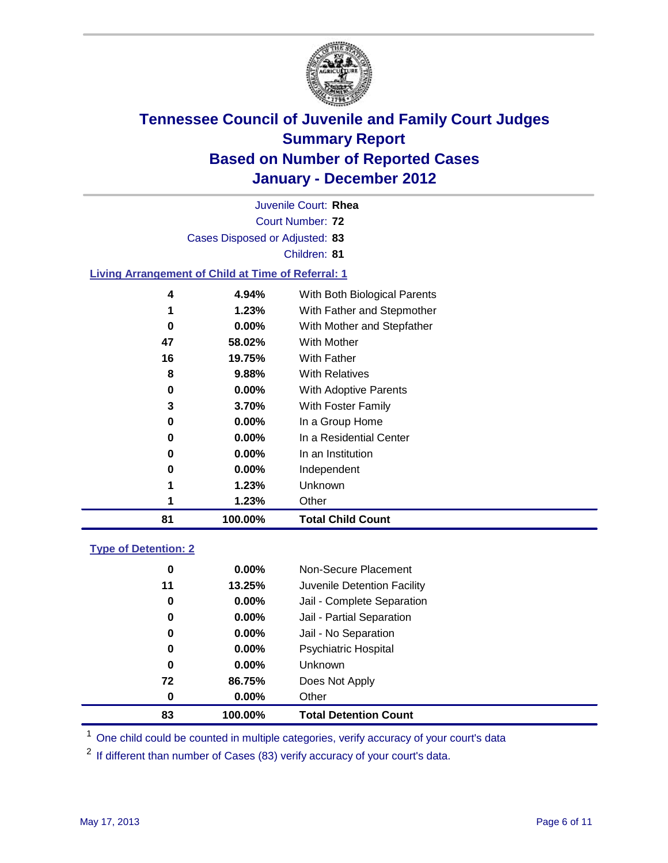

Court Number: **72** Juvenile Court: **Rhea** Cases Disposed or Adjusted: **83** Children: **81 Living Arrangement of Child at Time of Referral: 1 58.02%** With Mother **19.75%** With Father **9.88%** With Relatives

| 81 | 100.00%  | <b>Total Child Count</b>     |
|----|----------|------------------------------|
|    | 1.23%    | Other                        |
| 1  | 1.23%    | Unknown                      |
| 0  | $0.00\%$ | Independent                  |
| 0  | $0.00\%$ | In an Institution            |
| 0  | $0.00\%$ | In a Residential Center      |
| 0  | $0.00\%$ | In a Group Home              |
| 3  | 3.70%    | With Foster Family           |
| 0  | $0.00\%$ | With Adoptive Parents        |
| 8  | 9.88%    | <b>With Relatives</b>        |
| 16 | 19.75%   | With Father                  |
| 47 | 58.02%   | With Mother                  |
| 0  | 0.00%    | With Mother and Stepfather   |
| 1  | 1.23%    | With Father and Stepmother   |
| 4  | 4.94%    | With Both Biological Parents |

### **Type of Detention: 2**

| 83          | 100.00%  | <b>Total Detention Count</b> |
|-------------|----------|------------------------------|
| 0           | $0.00\%$ | Other                        |
| 72          | 86.75%   | Does Not Apply               |
| $\mathbf 0$ | $0.00\%$ | Unknown                      |
| 0           | $0.00\%$ | Psychiatric Hospital         |
| 0           | 0.00%    | Jail - No Separation         |
| 0           | $0.00\%$ | Jail - Partial Separation    |
| 0           | 0.00%    | Jail - Complete Separation   |
| 11          | 13.25%   | Juvenile Detention Facility  |
| 0           | $0.00\%$ | Non-Secure Placement         |
|             |          |                              |

<sup>1</sup> One child could be counted in multiple categories, verify accuracy of your court's data

<sup>2</sup> If different than number of Cases (83) verify accuracy of your court's data.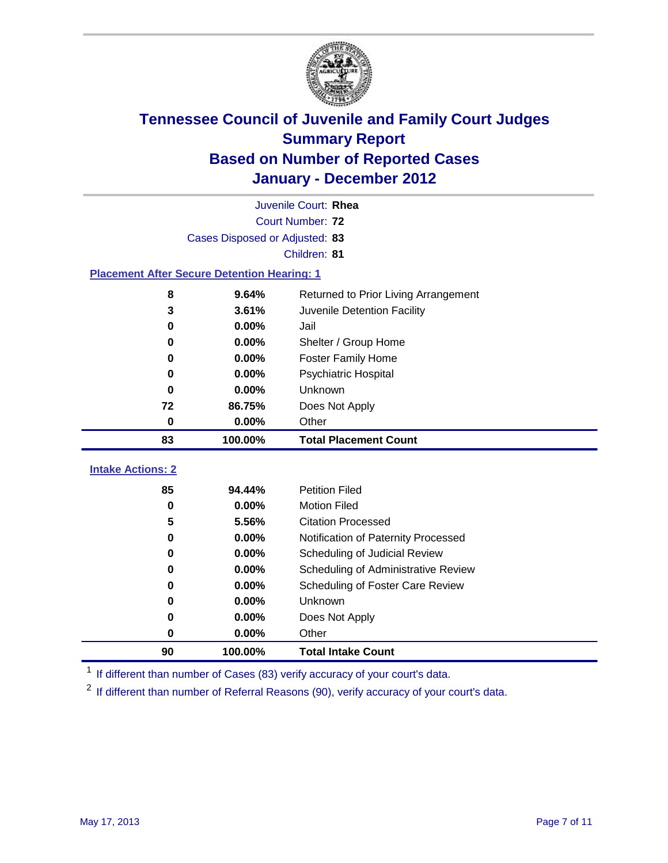

|                                                    | Juvenile Court: Rhea                          |                                     |  |  |  |
|----------------------------------------------------|-----------------------------------------------|-------------------------------------|--|--|--|
|                                                    | <b>Court Number: 72</b>                       |                                     |  |  |  |
|                                                    | Cases Disposed or Adjusted: 83                |                                     |  |  |  |
|                                                    |                                               | Children: 81                        |  |  |  |
| <b>Placement After Secure Detention Hearing: 1</b> |                                               |                                     |  |  |  |
| 8                                                  | 9.64%<br>Returned to Prior Living Arrangement |                                     |  |  |  |
| 3                                                  | 3.61%                                         | Juvenile Detention Facility         |  |  |  |
| 0                                                  | 0.00%                                         | Jail                                |  |  |  |
| 0                                                  | 0.00%                                         | Shelter / Group Home                |  |  |  |
| 0                                                  | 0.00%                                         | <b>Foster Family Home</b>           |  |  |  |
| 0                                                  | 0.00%                                         | Psychiatric Hospital                |  |  |  |
| $\bf{0}$                                           | 0.00%                                         | <b>Unknown</b>                      |  |  |  |
| 72                                                 | 86.75%                                        | Does Not Apply                      |  |  |  |
| $\mathbf 0$<br>0.00%<br>Other                      |                                               |                                     |  |  |  |
| 83                                                 | 100.00%                                       | <b>Total Placement Count</b>        |  |  |  |
| <b>Intake Actions: 2</b>                           |                                               |                                     |  |  |  |
| 85                                                 | 94.44%                                        | <b>Petition Filed</b>               |  |  |  |
| 0                                                  | 0.00%                                         | <b>Motion Filed</b>                 |  |  |  |
| 5                                                  | 5.56%                                         | <b>Citation Processed</b>           |  |  |  |
| 0                                                  | 0.00%                                         | Notification of Paternity Processed |  |  |  |
| 0                                                  | 0.00%                                         | Scheduling of Judicial Review       |  |  |  |
| 0                                                  | 0.00%                                         | Scheduling of Administrative Review |  |  |  |
| 0                                                  | 0.00%                                         | Scheduling of Foster Care Review    |  |  |  |
| 0                                                  | 0.00%                                         | Unknown                             |  |  |  |
| 0                                                  | 0.00%                                         | Does Not Apply                      |  |  |  |
| 0                                                  | 0.00%                                         | Other                               |  |  |  |
|                                                    |                                               |                                     |  |  |  |
| 90                                                 | 100.00%                                       | <b>Total Intake Count</b>           |  |  |  |

<sup>1</sup> If different than number of Cases (83) verify accuracy of your court's data.

<sup>2</sup> If different than number of Referral Reasons (90), verify accuracy of your court's data.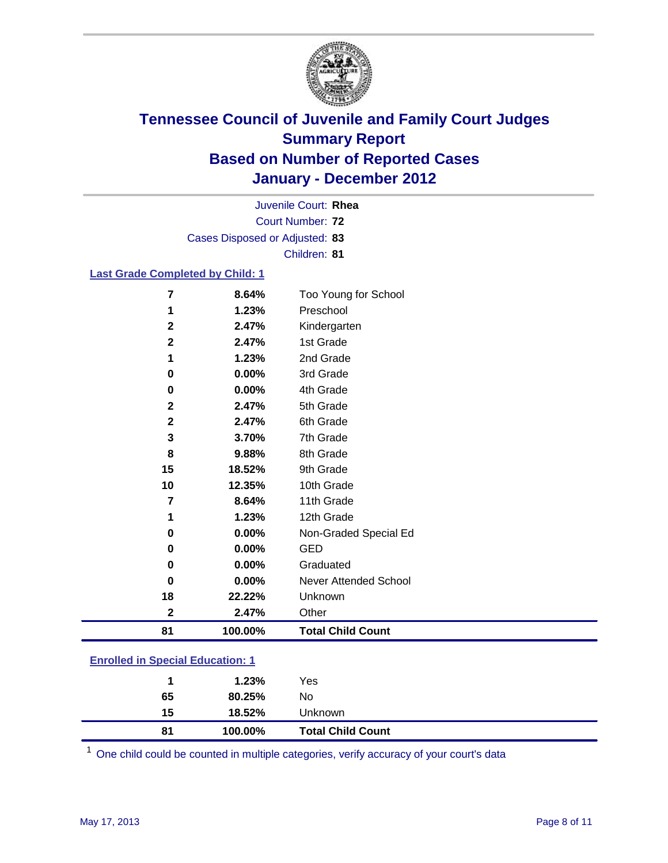

Court Number: **72** Juvenile Court: **Rhea** Cases Disposed or Adjusted: **83** Children: **81**

### **Last Grade Completed by Child: 1**

| 81           | 100.00% | <b>Total Child Count</b>     |
|--------------|---------|------------------------------|
| $\mathbf 2$  | 2.47%   | Other                        |
| 18           | 22.22%  | Unknown                      |
| 0            | 0.00%   | <b>Never Attended School</b> |
| 0            | 0.00%   | Graduated                    |
| 0            | 0.00%   | <b>GED</b>                   |
| 0            | 0.00%   | Non-Graded Special Ed        |
| 1            | 1.23%   | 12th Grade                   |
| 7            | 8.64%   | 11th Grade                   |
| 10           | 12.35%  | 10th Grade                   |
| 15           | 18.52%  | 9th Grade                    |
| 8            | 9.88%   | 8th Grade                    |
| 3            | 3.70%   | 7th Grade                    |
| $\mathbf{2}$ | 2.47%   | 6th Grade                    |
| $\mathbf 2$  | 2.47%   | 5th Grade                    |
| 0            | 0.00%   | 4th Grade                    |
| 0            | 0.00%   | 3rd Grade                    |
| 1            | 1.23%   | 2nd Grade                    |
| $\mathbf{2}$ | 2.47%   | 1st Grade                    |
| $\mathbf{2}$ | 2.47%   | Kindergarten                 |
| 1            | 1.23%   | Preschool                    |
| 7            | 8.64%   | Too Young for School         |

| <b>Enrolled in Special Education: 1</b> |             |        |         |  |
|-----------------------------------------|-------------|--------|---------|--|
|                                         | $\mathbf 1$ | 1.23%  | Yes     |  |
|                                         | 65          | 80.25% | No.     |  |
|                                         | 15          | 18.52% | Unknown |  |

One child could be counted in multiple categories, verify accuracy of your court's data

**100.00% Total Child Count**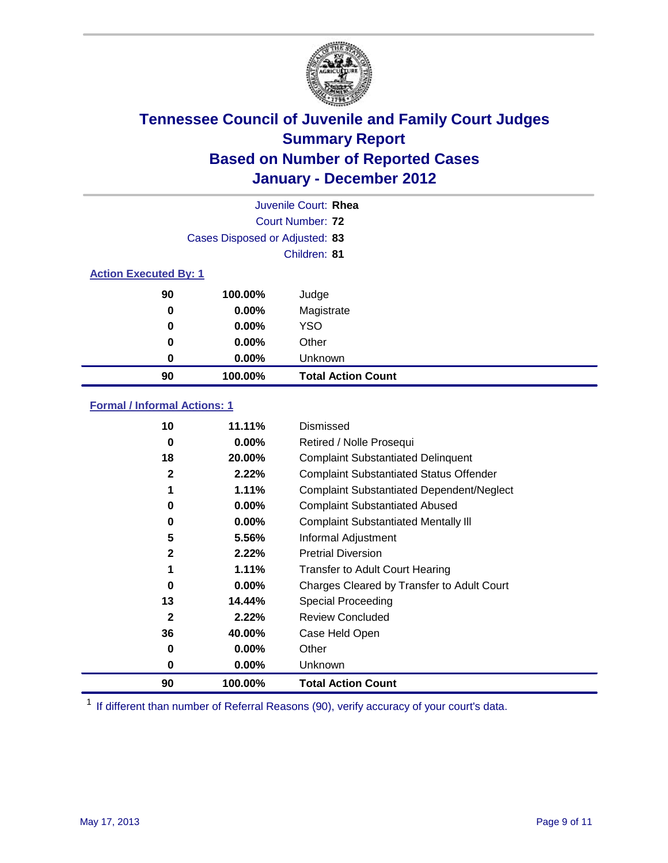

|                              | Juvenile Court: Rhea           |                           |  |  |  |
|------------------------------|--------------------------------|---------------------------|--|--|--|
|                              | Court Number: 72               |                           |  |  |  |
|                              | Cases Disposed or Adjusted: 83 |                           |  |  |  |
|                              | Children: 81                   |                           |  |  |  |
| <b>Action Executed By: 1</b> |                                |                           |  |  |  |
| 90                           | 100.00%                        | Judge                     |  |  |  |
| $\bf{0}$                     | $0.00\%$                       | Magistrate                |  |  |  |
| $\bf{0}$                     | $0.00\%$                       | <b>YSO</b>                |  |  |  |
| 0                            | $0.00\%$                       | Other                     |  |  |  |
| 0                            | 0.00%                          | Unknown                   |  |  |  |
| 90                           | 100.00%                        | <b>Total Action Count</b> |  |  |  |

### **Formal / Informal Actions: 1**

| 10           | 11.11%   | Dismissed                                        |
|--------------|----------|--------------------------------------------------|
| 0            | $0.00\%$ | Retired / Nolle Prosequi                         |
| 18           | 20.00%   | <b>Complaint Substantiated Delinquent</b>        |
| $\mathbf{2}$ | 2.22%    | <b>Complaint Substantiated Status Offender</b>   |
|              | 1.11%    | <b>Complaint Substantiated Dependent/Neglect</b> |
| 0            | $0.00\%$ | <b>Complaint Substantiated Abused</b>            |
| 0            | $0.00\%$ | <b>Complaint Substantiated Mentally III</b>      |
| 5            | 5.56%    | Informal Adjustment                              |
| $\mathbf{2}$ | 2.22%    | <b>Pretrial Diversion</b>                        |
|              | 1.11%    | <b>Transfer to Adult Court Hearing</b>           |
| 0            | 0.00%    | Charges Cleared by Transfer to Adult Court       |
| 13           | 14.44%   | Special Proceeding                               |
| $\mathbf{2}$ | 2.22%    | <b>Review Concluded</b>                          |
| 36           | 40.00%   | Case Held Open                                   |
| 0            | $0.00\%$ | Other                                            |
| 0            | $0.00\%$ | <b>Unknown</b>                                   |
| 90           | 100.00%  | <b>Total Action Count</b>                        |

<sup>1</sup> If different than number of Referral Reasons (90), verify accuracy of your court's data.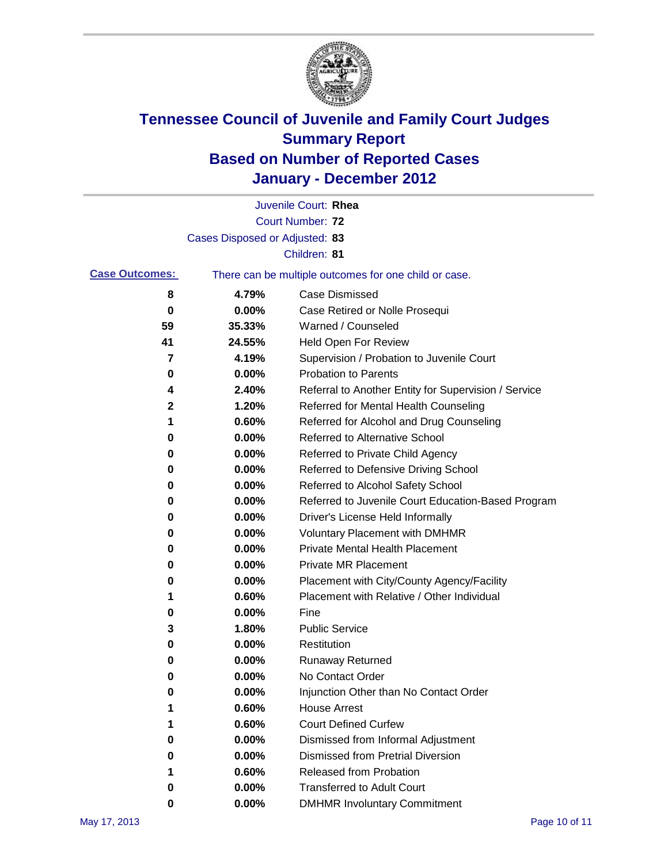

|                       |                                | Juvenile Court: Rhea                                  |
|-----------------------|--------------------------------|-------------------------------------------------------|
|                       |                                | <b>Court Number: 72</b>                               |
|                       | Cases Disposed or Adjusted: 83 |                                                       |
|                       |                                | Children: 81                                          |
| <b>Case Outcomes:</b> |                                | There can be multiple outcomes for one child or case. |
| 8                     | 4.79%                          | <b>Case Dismissed</b>                                 |
| 0                     | 0.00%                          | Case Retired or Nolle Prosequi                        |
| 59                    | 35.33%                         | Warned / Counseled                                    |
| 41                    | 24.55%                         | <b>Held Open For Review</b>                           |
| 7                     | 4.19%                          | Supervision / Probation to Juvenile Court             |
| 0                     | 0.00%                          | <b>Probation to Parents</b>                           |
| 4                     | 2.40%                          | Referral to Another Entity for Supervision / Service  |
| $\mathbf 2$           | 1.20%                          | Referred for Mental Health Counseling                 |
| 1                     | 0.60%                          | Referred for Alcohol and Drug Counseling              |
| 0                     | 0.00%                          | Referred to Alternative School                        |
| 0                     | 0.00%                          | Referred to Private Child Agency                      |
| 0                     | 0.00%                          | Referred to Defensive Driving School                  |
| 0                     | 0.00%                          | Referred to Alcohol Safety School                     |
| 0                     | 0.00%                          | Referred to Juvenile Court Education-Based Program    |
| 0                     | 0.00%                          | Driver's License Held Informally                      |
| 0                     | 0.00%                          | <b>Voluntary Placement with DMHMR</b>                 |
| 0                     | 0.00%                          | <b>Private Mental Health Placement</b>                |
| 0                     | 0.00%                          | <b>Private MR Placement</b>                           |
| 0                     | 0.00%                          | Placement with City/County Agency/Facility            |
| 1                     | 0.60%                          | Placement with Relative / Other Individual            |
| 0                     | 0.00%                          | Fine                                                  |
| 3                     | 1.80%                          | <b>Public Service</b>                                 |
| 0                     | 0.00%                          | Restitution                                           |
| 0                     | 0.00%                          | <b>Runaway Returned</b>                               |
| 0                     | 0.00%                          | No Contact Order                                      |
| 0                     | 0.00%                          | Injunction Other than No Contact Order                |
|                       | 0.60%                          | <b>House Arrest</b>                                   |
| 1                     | 0.60%                          | <b>Court Defined Curfew</b>                           |
| 0                     | 0.00%                          | Dismissed from Informal Adjustment                    |
| 0                     | 0.00%                          | <b>Dismissed from Pretrial Diversion</b>              |
|                       | 0.60%                          | Released from Probation                               |
| 0                     | 0.00%                          | <b>Transferred to Adult Court</b>                     |
| 0                     | 0.00%                          | <b>DMHMR Involuntary Commitment</b>                   |